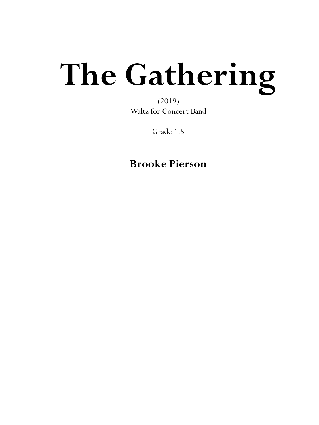## **The Gathering**

(2019) Waltz for Concert Band

Grade 1.5

**Brooke Pierson**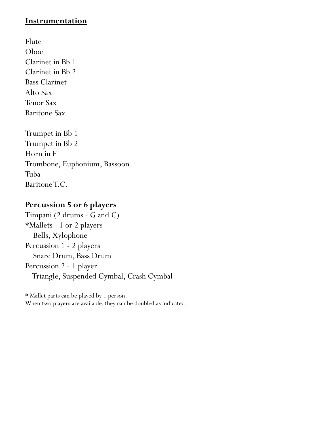## **Instrumentation**

Flute Oboe Clarinet in Bb 1 Clarinet in Bb 2 Bass Clarinet Alto Sax Tenor Sax Baritone Sax

Trumpet in Bb 1 Trumpet in Bb 2 Horn in F Trombone, Euphonium, Bassoon Tuba Baritone T.C.

## **Percussion 5 or 6 players**

Timpani (2 drums - G and C) \*Mallets - 1 or 2 players Bells, Xylophone Percussion 1 - 2 players Snare Drum, Bass Drum Percussion 2 - 1 player Triangle, Suspended Cymbal, Crash Cymbal

\* Mallet parts can be played by 1 person. When two players are available, they can be doubled as indicated.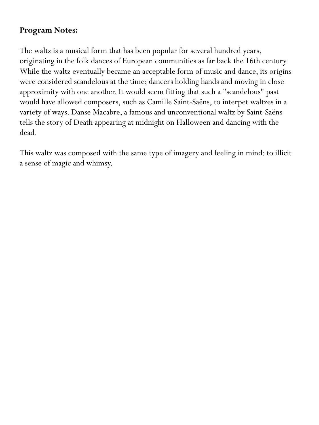## **Program Notes:**

The waltz is a musical form that has been popular for several hundred years, originating in the folk dances of European communities as far back the 16th century. While the waltz eventually became an acceptable form of music and dance, its origins were considered scandelous at the time; dancers holding hands and moving in close approximity with one another. It would seem fitting that such a "scandelous" past would have allowed composers, such as Camille Saint-Saëns, to interpet waltzes in a variety of ways. Danse Macabre, a famous and unconventional waltz by Saint-Saëns tells the story of Death appearing at midnight on Halloween and dancing with the dead.

This waltz was composed with the same type of imagery and feeling in mind: to illicit a sense of magic and whimsy.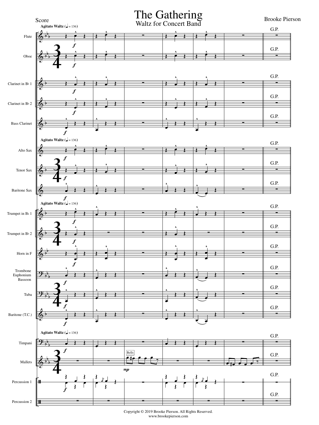

Copyright © 2019 Brooke Pierson. All Rights Reserved. www.brookepierson.com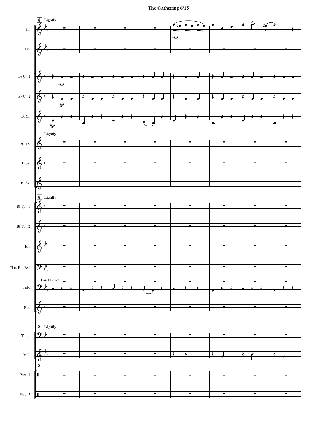**The Gathering 6/15**

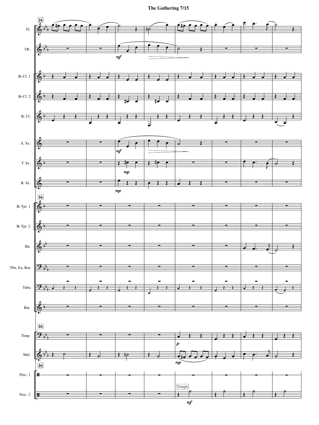**The Gathering 7/15**

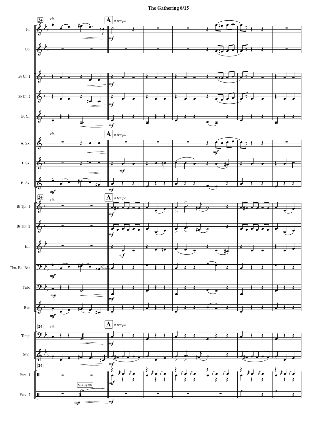**The Gathering 8/15**

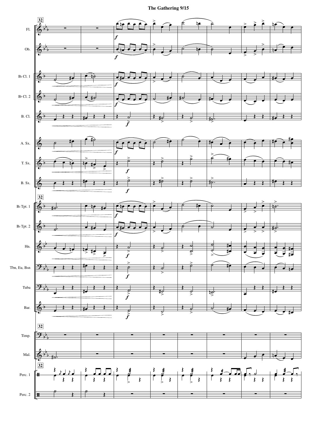**The Gathering 9/15**

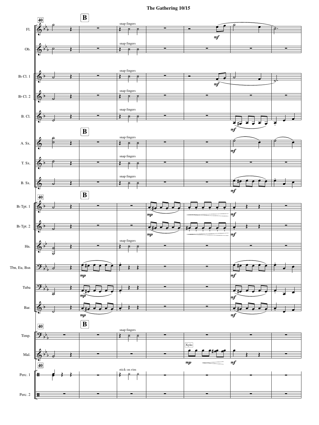**The Gathering 10/15**

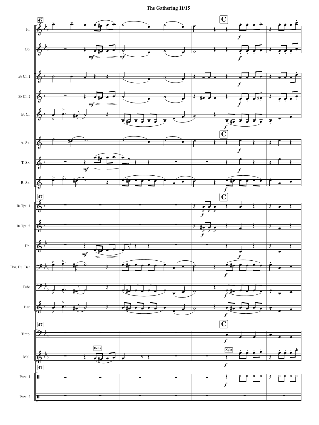**The Gathering 11/15**

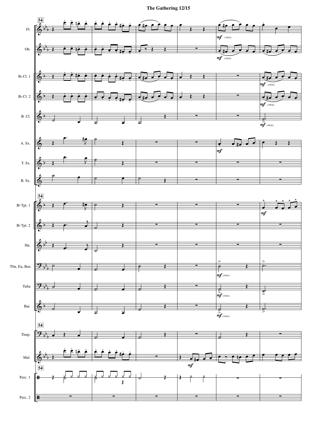**The Gathering 12/15**

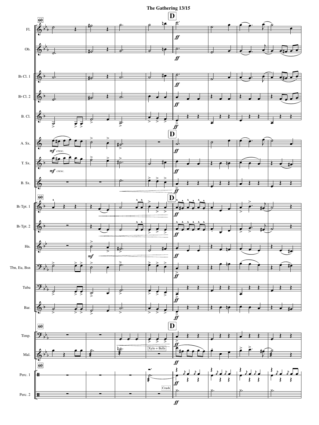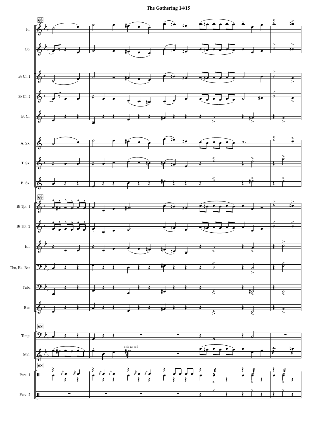**The Gathering 14/15**